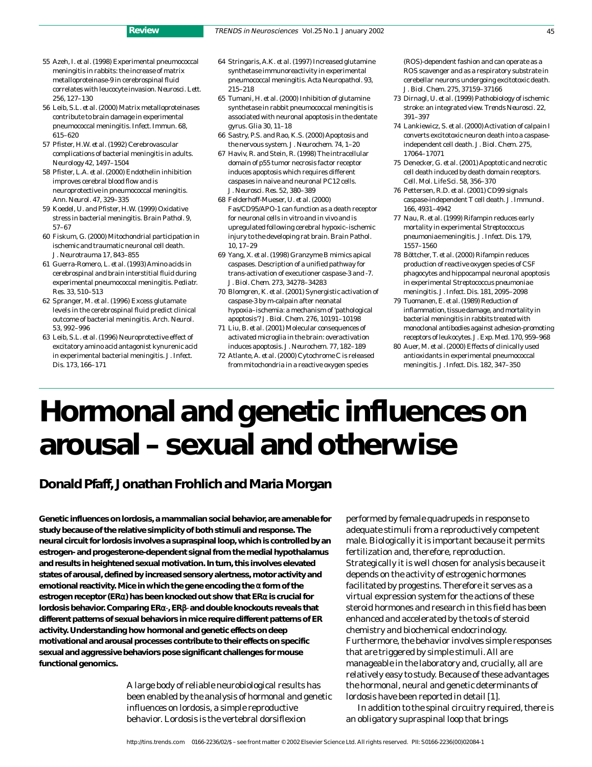- 55 Azeh, I. *et al.* (1998) Experimental pneumococcal meningitis in rabbits: the increase of matrix metalloproteinase-9 in cerebrospinal fluid correlates with leucocyte invasion. *Neurosci. Lett.* 256, 127–130
- 56 Leib, S.L. *et al.* (2000) Matrix metalloproteinases contribute to brain damage in experimental pneumococcal meningitis. *Infect. Immun.* 68, 615–620
- 57 Pfister, H.W. *et al.* (1992) Cerebrovascular complications of bacterial meningitis in adults. *Neurology* 42, 1497–1504
- 58 Pfister, L.A. *et al.* (2000) Endothelin inhibition improves cerebral blood flow and is neuroprotective in pneumococcal meningitis. *Ann. Neurol.* 47, 329–335
- 59 Koedel, U. and Pfister, H.W. (1999) Oxidative stress in bacterial meningitis. *Brain Pathol.* 9, 57–67
- 60 Fiskum, G. (2000) Mitochondrial participation in ischemic and traumatic neuronal cell death. *J. Neurotrauma* 17, 843–855
- 61 Guerra-Romero, L. *et al.* (1993) Amino acids in cerebrospinal and brain interstitial fluid during experimental pneumococcal meningitis. *Pediatr. Res.* 33, 510–513
- 62 Spranger, M. *et al.* (1996) Excess glutamate levels in the cerebrospinal fluid predict clinical outcome of bacterial meningitis. *Arch. Neurol.* 53, 992–996
- 63 Leib, S.L. *et al.* (1996) Neuroprotective effect of excitatory amino acid antagonist kynurenic acid in experimental bacterial meningitis. *J. Infect. Dis.* 173, 166–171
- 64 Stringaris, A.K. *et al.* (1997) Increased glutamine synthetase immunoreactivity in experimental pneumococcal meningitis. *Acta Neuropathol.* 93, 215–218
- 65 Tumani, H. *et al.* (2000) Inhibition of glutamine synthetase in rabbit pneumococcal meningitis is associated with neuronal apoptosis in the dentate gyrus. *Glia* 30, 11–18
- 66 Sastry, P.S. and Rao, K.S. (2000) Apoptosis and the nervous system. *J. Neurochem.* 74, 1–20
- 67 Haviv, R. and Stein, R. (1998) The intracellular domain of p55 tumor necrosis factor receptor induces apoptosis which requires different caspases in naive and neuronal PC12 cells. *J. Neurosci. Res.* 52, 380–389
- 68 Felderhoff-Mueser, U. *et al.* (2000) Fas/CD95/APO-1 can function as a death receptor for neuronal cells *in vitro* and *in vivo* and is upregulated following cerebral hypoxic–ischemic injury to the developing rat brain. *Brain Pathol.* 10, 17–29
- 69 Yang, X. *et al.* (1998) Granzyme B mimics apical caspases. Description of a unified pathway for trans-activation of executioner caspase-3 and -7. *J. Biol. Chem.* 273, 34278–34283
- 70 Blomgren, K. *et al.* (2001) Synergistic activation of caspase-3 by m-calpain after neonatal hypoxia–ischemia: a mechanism of 'pathological apoptosis'? *J. Biol. Chem.* 276, 10191–10198
- 71 Liu, B. *et al.* (2001) Molecular consequences of activated microglia in the brain: overactivation induces apoptosis. *J. Neurochem.* 77, 182–189
- 72 Atlante, A. *et al.* (2000) Cytochrome C is released from mitochondria in a reactive oxygen species

(ROS)-dependent fashion and can operate as a ROS scavenger and as a respiratory substrate in cerebellar neurons undergoing excitotoxic death. *J. Biol. Chem.* 275, 37159–37166

- 73 Dirnagl, U. *et al.* (1999) Pathobiology of ischemic stroke: an integrated view. *Trends Neurosci.* 22, 391–397
- 74 Lankiewicz, S. *et al.* (2000) Activation of calpain I converts excitotoxic neuron death into a caspaseindependent cell death. *J. Biol. Chem.* 275, 17064–17071
- 75 Denecker, G. *et al.* (2001) Apoptotic and necrotic cell death induced by death domain receptors. *Cell. Mol. Life Sci.* 58, 356–370
- 76 Pettersen, R.D. *et al.* (2001) CD99 signals caspase-independent T cell death. *J. Immunol.* 166, 4931–4942
- 77 Nau, R. *et al.* (1999) Rifampin reduces early mortality in experimental *Streptococcus pneumoniae* meningitis. *J. Infect. Dis.* 179, 1557–1560
- 78 Böttcher, T. *et al.* (2000) Rifampin reduces production of reactive oxygen species of CSF phagocytes and hippocampal neuronal apoptosis in experimental *Streptococcus pneumoniae* meningitis. *J. Infect. Dis.* 181, 2095–2098
- 79 Tuomanen, E. *et al.*(1989) Reduction of inflammation, tissue damage, and mortality in bacterial meningitis in rabbits treated with monoclonal antibodies against adhesion-promoting receptors of leukocytes. *J. Exp. Med.* 170, 959–968
- 80 Auer, M. *et al.* (2000) Effects of clinically used antioxidants in experimental pneumococcal meningitis. *J. Infect. Dis.* 182, 347–350

# **Hormonal and genetic influences on arousal – sexual and otherwise**

## **Donald Pfaff, Jonathan Frohlich and Maria Morgan**

**Genetic influences on lordosis, a mammalian social behavior, are amenable for study because of the relative simplicity of both stimuli and response. The neural circuit for lordosis involves a supraspinal loop, which is controlled by an estrogen- and progesterone-dependent signal from the medial hypothalamus and results in heightened sexual motivation. In turn, this involves elevated states of arousal, defined by increased sensory alertness, motor activity and emotional reactivity. Mice in which the gene encoding the** α **form of the estrogen receptor (ER**α**) has been knocked out show that ER**α **is crucial for lordosis behavior. Comparing ER**α-**, ER**β- **and double knockouts reveals that different patterns of sexual behaviors in mice require different patterns of ER activity. Understanding how hormonal and genetic effects on deep motivational and arousal processes contribute to their effects on specific sexual and aggressive behaviors pose significant challenges for mouse functional genomics.**

> A large body of reliable neurobiological results has been enabled by the analysis of hormonal and genetic influences on lordosis, a simple reproductive behavior. Lordosis is the vertebral dorsiflexion

performed by female quadrupeds in response to adequate stimuli from a reproductively competent male. Biologically it is important because it permits fertilization and, therefore, reproduction. Strategically it is well chosen for analysis because it depends on the activity of estrogenic hormones facilitated by progestins. Therefore it serves as a virtual expression system for the actions of these steroid hormones and research in this field has been enhanced and accelerated by the tools of steroid chemistry and biochemical endocrinology. Furthermore, the behavior involves simple responses that are triggered by simple stimuli. All are manageable in the laboratory and, crucially, all are relatively easy to study. Because of these advantages the hormonal, neural and genetic determinants of lordosis have been reported in detail [1].

In addition to the spinal circuitry required, there is an obligatory supraspinal loop that brings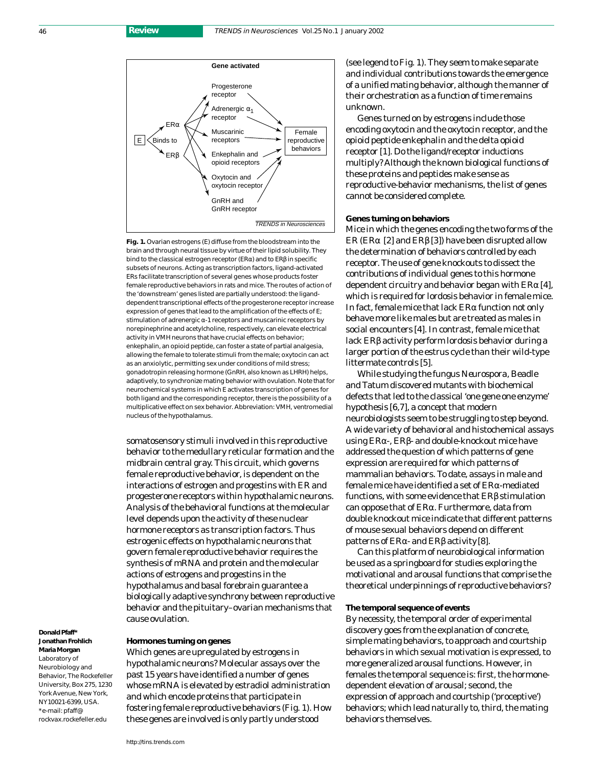

**Fig. 1.** Ovarian estrogens (E) diffuse from the bloodstream into the brain and through neural tissue by virtue of their lipid solubility. They bind to the classical estrogen receptor (ERα) and to ERβ in specific subsets of neurons. Acting as transcription factors, ligand-activated ERs facilitate transcription of several genes whose products foster female reproductive behaviors in rats and mice. The routes of action of the 'downstream' genes listed are partially understood: the liganddependent transcriptional effects of the progesterone receptor increase expression of genes that lead to the amplification of the effects of E: stimulation of adrenergic  $\alpha$ -1 receptors and muscarinic receptors by norepinephrine and acetylcholine, respectively, can elevate electrical activity in VMH neurons that have crucial effects on behavior; enkephalin, an opioid peptide, can foster a state of partial analgesia, allowing the female to tolerate stimuli from the male; oxytocin can act as an anxiolytic, permitting sex under conditions of mild stress; gonadotropin releasing hormone (GnRH, also known as LHRH) helps, adaptively, to synchronize mating behavior with ovulation. Note that for neurochemical systems in which E activates transcription of genes for both ligand and the corresponding receptor, there is the possibility of a multiplicative effect on sex behavior. Abbreviation: VMH, ventromedial nucleus of the hypothalamus.

somatosensory stimuli involved in this reproductive behavior to the medullary reticular formation and the midbrain central gray. This circuit, which governs female reproductive behavior, is dependent on the interactions of estrogen and progestins with ER and progesterone receptors within hypothalamic neurons. Analysis of the behavioral functions at the molecular level depends upon the activity of these nuclear hormone receptors as transcription factors. Thus estrogenic effects on hypothalamic neurons that govern female reproductive behavior requires the synthesis of mRNA and protein and the molecular actions of estrogens and progestins in the hypothalamus and basal forebrain guarantee a biologically adaptive synchrony between reproductive behavior and the pituitary–ovarian mechanisms that cause ovulation.

**Donald Pfaff\***

**Jonathan Frohlich Maria Morgan** Laboratory of Neurobiology and Behavior, The Rockefeller University, Box 275, 1230 York Avenue, New York, NY10021-6399, USA. \*e-mail: pfaff@ rockvax.rockefeller.edu

## **Hormones turning on genes**

Which genes are upregulated by estrogens in hypothalamic neurons? Molecular assays over the past 15 years have identified a number of genes whose mRNA is elevated by estradiol administration and which encode proteins that participate in fostering female reproductive behaviors (Fig. 1). How these genes are involved is only partly understood

(see legend to Fig. 1). They seem to make separate and individual contributions towards the emergence of a unified mating behavior, although the manner of their orchestration as a function of time remains unknown.

Genes turned on by estrogens include those encoding oxytocin and the oxytocin receptor, and the opioid peptide enkephalin and the delta opioid receptor [1]. Do the ligand/receptor inductions multiply? Although the known biological functions of these proteins and peptides make sense as reproductive-behavior mechanisms, the list of genes cannot be considered complete.

#### **Genes turning on behaviors**

Mice in which the genes encoding the two forms of the ER (ER $\alpha$  [2] and ER $\beta$  [3]) have been disrupted allow the determination of behaviors controlled by each receptor. The use of gene knockouts to dissect the contributions of individual genes to this hormone dependent circuitry and behavior began with  $ER\alpha$  [4], which is required for lordosis behavior in female mice. In fact, female mice that lack ERα function not only behave more like males but are treated as males in social encounters [4]. In contrast, female mice that lack ERβ activity perform lordosis behavior during a larger portion of the estrus cycle than their wild-type littermate controls [5].

While studying the fungus *Neurospora*, Beadle and Tatum discovered mutants with biochemical defects that led to the classical 'one gene one enzyme' hypothesis [6,7], a concept that modern neurobiologists seem to be struggling to step beyond. A wide variety of behavioral and histochemical assays using ERα-, ERβ- and double-knockout mice have addressed the question of which patterns of gene expression are required for which patterns of mammalian behaviors. To date, assays in male and female mice have identified a set of ERα-mediated functions, with some evidence that ERβ stimulation can oppose that of ERα. Furthermore, data from double knockout mice indicate that different patterns of mouse sexual behaviors depend on different patterns of ERα- and ERβ activity [8].

Can this platform of neurobiological information be used as a springboard for studies exploring the motivational and arousal functions that comprise the theoretical underpinnings of reproductive behaviors?

#### **The temporal sequence of events**

By necessity, the temporal order of experimental discovery goes from the explanation of concrete, simple mating behaviors, to approach and courtship behaviors in which sexual motivation is expressed, to more generalized arousal functions. However, in females the temporal sequence is: first, the hormonedependent elevation of arousal; second*,*the expression of approach and courtship ('proceptive') behaviors; which lead naturally to, third*,*the mating behaviors themselves.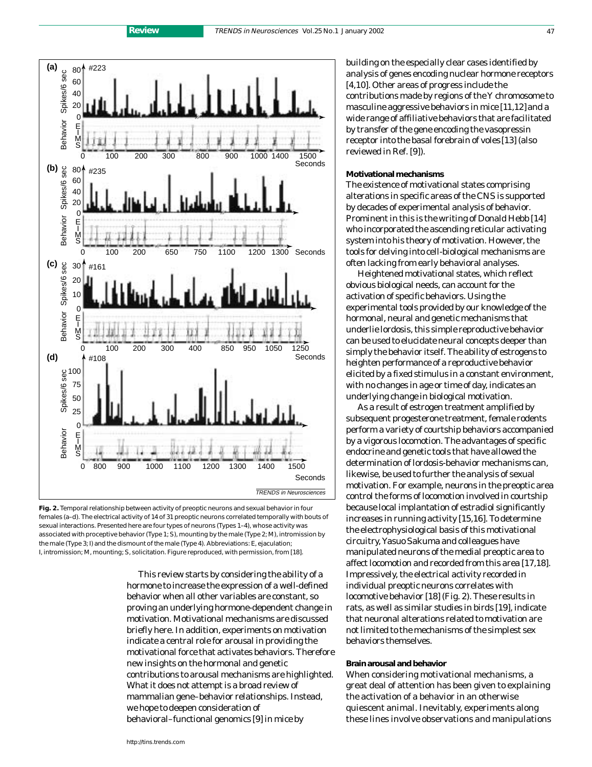

**Fig. 2.** Temporal relationship between activity of preoptic neurons and sexual behavior in four females (a–d). The electrical activity of 14 of 31 preoptic neurons correlated temporally with bouts of sexual interactions. Presented here are four types of neurons (Types 1–4), whose activity was associated with proceptive behavior (Type 1; S), mounting by the male (Type 2; M), intromission by the male (Type 3; I) and the dismount of the male (Type 4). Abbreviations: E, ejaculation; I, intromission; M, mounting; S, solicitation. Figure reproduced, with permission, from [18].

This review starts by considering the ability of a hormone to increase the expression of a well-defined behavior when all other variables are constant, so proving an underlying hormone-dependent change in motivation. Motivational mechanisms are discussed briefly here. In addition, experiments on motivation indicate a central role for arousal in providing the motivational force that activates behaviors. Therefore new insights on the hormonal and genetic contributions to arousal mechanisms are highlighted. What it does not attempt is a broad review of mammalian gene–behavior relationships. Instead, we hope to deepen consideration of behavioral–functional genomics [9] in mice by

building on the especially clear cases identified by analysis of genes encoding nuclear hormone receptors [4,10]. Other areas of progress include the contributions made by regions of the Y chromosome to masculine aggressive behaviors in mice [11,12] and a wide range of affiliative behaviors that are facilitated by transfer of the gene encoding the vasopressin receptor into the basal forebrain of voles[13] (also reviewed in Ref. [9]).

#### **Motivational mechanisms**

The existence of motivational states comprising alterations in specific areas of the CNS is supported by decades of experimental analysis of behavior. Prominent in this is the writing of Donald Hebb [14] who incorporated the ascending reticular activating system into his theory of motivation. However, the tools for delving into cell-biological mechanisms are often lacking from early behavioral analyses.

Heightened motivational states, which reflect obvious biological needs, can account for the activation of specific behaviors. Using the experimental tools provided by our knowledge of the hormonal, neural and genetic mechanisms that underlie lordosis, this simple reproductive behavior can be used to elucidate neural concepts deeper than simply the behavior itself. The ability of estrogens to heighten performance of a reproductive behavior elicited by a fixed stimulus in a constant environment, with no changes in age or time of day, indicates an underlying change in biological motivation.

As a result of estrogen treatment amplified by subsequent progesterone treatment, female rodents perform a variety of courtship behaviors accompanied by a vigorous locomotion. The advantages of specific endocrine and genetic tools that have allowed the determination of lordosis-behavior mechanisms can, likewise, be used to further the analysis of sexual motivation. For example, neurons in the preoptic area control the forms of locomotion involved in courtship because local implantation of estradiol significantly increases in running activity [15,16]. To determine the electrophysiological basis of this motivational circuitry, Yasuo Sakuma and colleagues have manipulated neurons of the medial preoptic area to affect locomotion and recorded from this area [17,18]. Impressively, the electrical activity recorded in individual preoptic neurons correlates with locomotive behavior [18] (Fig. 2). These results in rats, as well as similar studies in birds [19], indicate that neuronal alterations related to motivation are not limited to the mechanisms of the simplest sex behaviors themselves.

## **Brain arousal and behavior**

When considering motivational mechanisms, a great deal of attention has been given to explaining the activation of a behavior in an otherwise quiescent animal. Inevitably, experiments along these lines involve observations and manipulations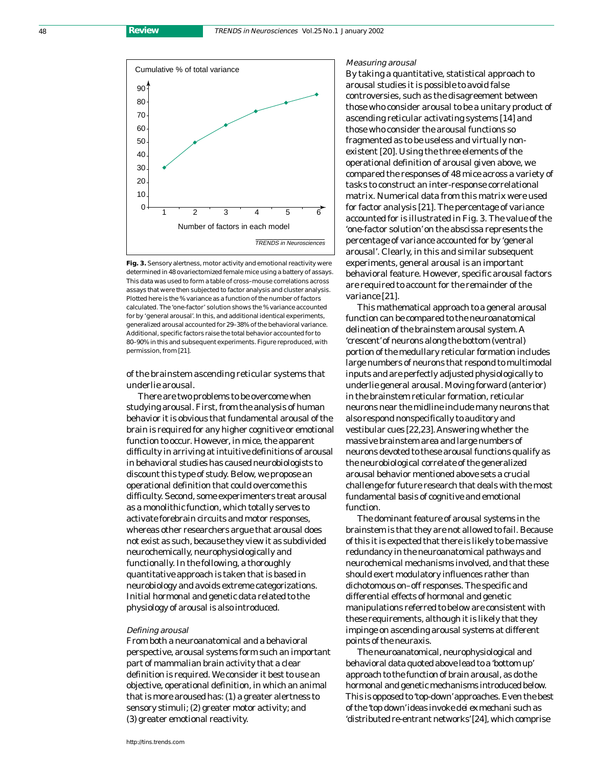

**Fig. 3.** Sensory alertness, motor activity and emotional reactivity were determined in 48 ovariectomized female mice using a battery of assays. This data was used to form a table of cross–mouse correlations across assays that were then subjected to factor analysis and cluster analysis. Plotted here is the % variance as a function of the number of factors calculated. The 'one-factor' solution shows the % variance accounted for by 'general arousal'. In this, and additional identical experiments, generalized arousal accounted for 29–38% of the behavioral variance. Additional, specific factors raise the total behavior accounted for to 80–90% in this and subsequent experiments. Figure reproduced, with permission, from [21].

of the brainstem ascending reticular systems that underlie arousal.

There are two problems to be overcome when studying arousal. First, from the analysis of human behavior it is obvious that fundamental arousal of the brain is required for any higher cognitive or emotional function to occur. However, in mice, the apparent difficulty in arriving at intuitive definitions of arousal in behavioral studies has caused neurobiologists to discount this type of study. Below, we propose an operational definition that could overcome this difficulty. Second, some experimenters treat arousal as a monolithic function, which totally serves to activate forebrain circuits and motor responses, whereas other researchers argue that arousal does not exist as such, because they view it as subdivided neurochemically, neurophysiologically and functionally. In the following, a thoroughly quantitative approach is taken that is based in neurobiology and avoids extreme categorizations. Initial hormonal and genetic data related to the physiology of arousal is also introduced.

#### Defining arousal

From both a neuroanatomical and a behavioral perspective, arousal systems form such an important part of mammalian brain activity that a clear definition is required. We consider it best to use an objective, operational definition, in which an animal that is more aroused has: (1) a greater alertness to sensory stimuli; (2) greater motor activity; and (3) greater emotional reactivity.

#### Measuring arousal

By taking a quantitative, statistical approach to arousal studies it is possible to avoid false controversies, such as the disagreement between those who consider arousal to be a unitary product of ascending reticular activating systems [14] and those who consider the arousal functions so fragmented as to be useless and virtually nonexistent [20]. Using the three elements of the operational definition of arousal given above, we compared the responses of 48 mice across a variety of tasks to construct an inter-response correlational matrix. Numerical data from this matrix were used for factor analysis [21]. The percentage of variance accounted for is illustrated in Fig. 3. The value of the 'one-factor solution' on the abscissa represents the percentage of variance accounted for by 'general arousal'. Clearly, in this and similar subsequent experiments, general arousal is an important behavioral feature. However, specific arousal factors are required to account for the remainder of the variance [21].

This mathematical approach to a general arousal function can be compared to the neuroanatomical delineation of the brainstem arousal system. A 'crescent'of neurons along the bottom (ventral) portion of the medullary reticular formation includes large numbers of neurons that respond to multimodal inputs and are perfectly adjusted physiologically to underlie general arousal. Moving forward (anterior) in the brainstem reticular formation, reticular neurons near the midline include many neurons that also respond nonspecifically to auditory and vestibular cues [22,23]. Answering whether the massive brainstem area and large numbers of neurons devoted to these arousal functions qualify as the neurobiological correlate of the generalized arousal behavior mentioned above sets a crucial challenge for future research that deals with the most fundamental basis of cognitive and emotional function.

The dominant feature of arousal systems in the brainstem is that they are not allowed to fail. Because of this it is expected that there is likely to be massive redundancy in the neuroanatomical pathways and neurochemical mechanisms involved, and that these should exert modulatory influences rather than dichotomous on–off responses. The specific and differential effects of hormonal and genetic manipulations referred to below are consistent with these requirements, although it is likely that they impinge on ascending arousal systems at different points of the neuraxis.

The neuroanatomical, neurophysiological and behavioral data quoted above lead to a 'bottom up' approach to the function of brain arousal, as do the hormonal and genetic mechanisms introduced below. This is opposed to 'top-down'approaches. Even the best of the 'top down'ideas invoke *dei ex mechani* such as 'distributed re-entrant networks'[24], which comprise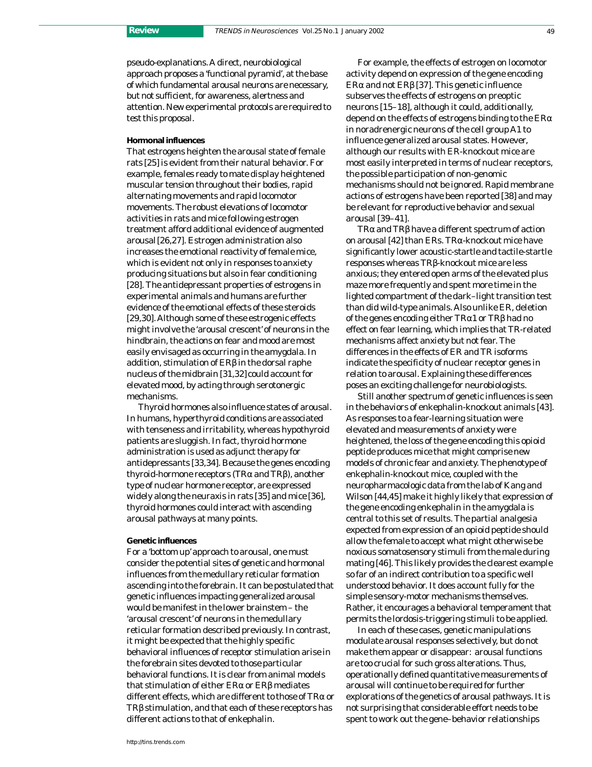pseudo-explanations. A direct, neurobiological approach proposes a 'functional pyramid', at the base of which fundamental arousal neurons are necessary, but not sufficient, for awareness, alertness and attention. New experimental protocols are required to test this proposal.

#### **Hormonal influences**

That estrogens heighten the arousal state of female rats [25] is evident from their natural behavior. For example, females ready to mate display heightened muscular tension throughout their bodies, rapid alternating movements and rapid locomotor movements. The robust elevations of locomotor activities in rats and mice following estrogen treatment afford additional evidence of augmented arousal[26,27]. Estrogen administration also increases the emotional reactivity of female mice, which is evident not only in responses to anxiety producing situations but also in fear conditioning [28]. The antidepressant properties of estrogens in experimental animals and humans are further evidence of the emotional effects of these steroids [29,30]. Although some of these estrogenic effects might involve the 'arousal crescent'of neurons in the hindbrain, the actions on fear and mood are most easily envisaged as occurring in the amygdala. In addition, stimulation of ERβ in the dorsal raphe nucleus of the midbrain [31,32] could account for elevated mood, by acting through serotonergic mechanisms.

Thyroid hormones also influence states of arousal. In humans, hyperthyroid conditions are associated with tenseness and irritability, whereas hypothyroid patients are sluggish. In fact, thyroid hormone administration is used as adjunct therapy for antidepressants [33,34]. Because the genes encoding thyroid-hormone receptors (TRα and TRβ), another type of nuclear hormone receptor, are expressed widely along the neuraxis in rats [35] and mice [36], thyroid hormones could interact with ascending arousal pathways at many points.

#### **Genetic influences**

For a 'bottom up'approach to arousal, one must consider the potential sites of genetic and hormonal influences from the medullary reticular formation ascending into the forebrain. It can be postulated that genetic influences impacting generalized arousal would be manifest in the lower brainstem – the 'arousal crescent'of neurons in the medullary reticular formation described previously. In contrast, it might be expected that the highly specific behavioral influences of receptor stimulation arise in the forebrain sites devoted to those particular behavioral functions. It is clear from animal models that stimulation of either ERα or ERβ mediates different effects, which are different to those of TRα or TRβ stimulation, and that each of these receptors has different actions to that of enkephalin.

For example, the effects of estrogen on locomotor activity depend on expression of the gene encoding ER $\alpha$  and not ER $\beta$  [37]. This genetic influence subserves the effects of estrogens on preoptic neurons [15–18], although it could, additionally, depend on the effects of estrogens binding to the ERα in noradrenergic neurons of the cell group A1 to influence generalized arousal states. However, although our results with ER-knockout mice are most easily interpreted in terms of nuclear receptors, the possible participation of non-genomic mechanisms should not be ignored. Rapid membrane actions of estrogens have been reported [38] and may be relevant for reproductive behavior and sexual arousal [39–41].

TRα and TRβ have a different spectrum of action on arousal [42] than ERs. TRα-knockout mice have significantly lower acoustic-startle and tactile-startle responses whereas TRβ-knockout mice are less anxious; they entered open arms of the elevated plus maze more frequently and spent more time in the lighted compartment of the dark–light transition test than did wild-type animals. Also unlike ER, deletion of the genes encoding either TRα1 or TRβ had no effect on fear learning, which implies that TR-related mechanisms affect anxiety but not fear. The differences in the effects of ER and TR isoforms indicate the specificity of nuclear receptor genes in relation to arousal. Explaining these differences poses an exciting challenge for neurobiologists.

Still another spectrum of genetic influences is seen in the behaviors of enkephalin-knockout animals [43]. As responses to a fear-learning situation were elevated and measurements of anxiety were heightened, the loss of the gene encoding this opioid peptide produces mice that might comprise new models of chronic fear and anxiety. The phenotype of enkephalin-knockout mice, coupled with the neuropharmacologic data from the lab of Kang and Wilson [44,45] make it highly likely that expression of the gene encoding enkephalin in the amygdala is central to this set of results. The partial analgesia expected from expression of an opioid peptide should allow the female to accept what might otherwise be noxious somatosensory stimuli from the male during mating [46]. This likely provides the clearest example so far of an indirect contribution to a specific well understood behavior. It does account fully for the simple sensory-motor mechanisms themselves. Rather, it encourages a behavioral temperament that permits the lordosis-triggering stimuli to be applied.

In each of these cases, genetic manipulations modulate arousal responses selectively, but do not make them appear or disappear: arousal functions are too crucial for such gross alterations. Thus, operationally defined quantitative measurements of arousal will continue to be required for further explorations of the genetics of arousal pathways. It is not surprising that considerable effort needs to be spent to work out the gene–behavior relationships